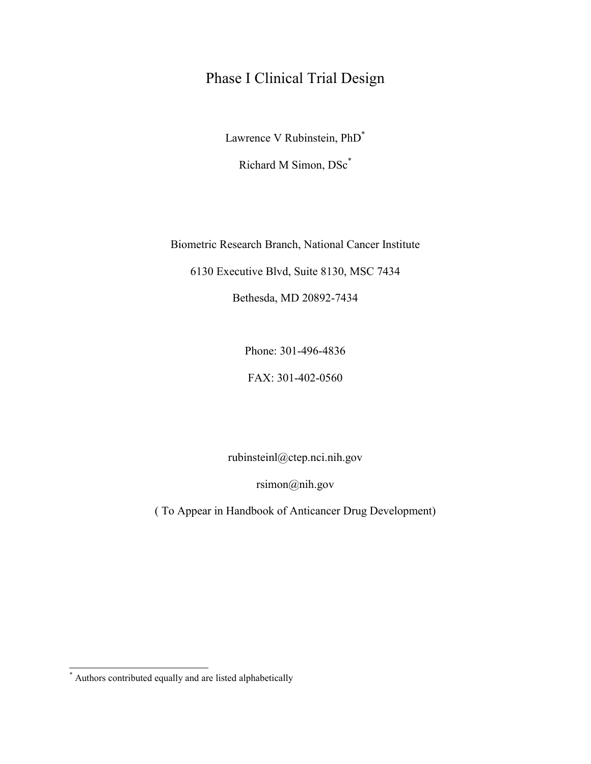# <span id="page-0-1"></span>Phase I Clinical Trial Design

Lawrence V Rubinstein, PhD[\\*](#page-0-0)

Richard M Simon, DS[c\\*](#page-0-1)

Biometric Research Branch, National Cancer Institute

6130 Executive Blvd, Suite 8130, MSC 7434

Bethesda, MD 20892-7434

Phone: 301-496-4836

FAX: 301-402-0560

rubinsteinl@ctep.nci.nih.gov

rsimon@nih.gov

( To Appear in Handbook of Anticancer Drug Development)

<span id="page-0-0"></span> \* Authors contributed equally and are listed alphabetically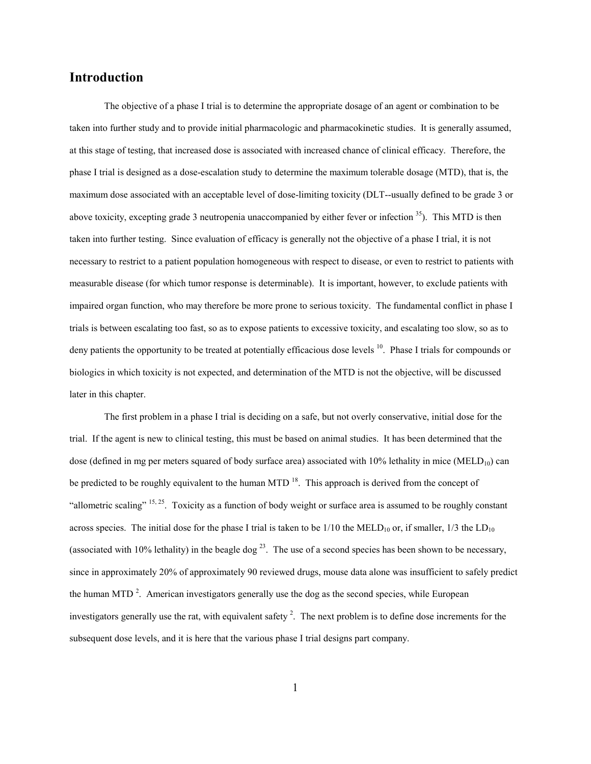## **Introduction**

The objective of a phase I trial is to determine the appropriate dosage of an agent or combination to be taken into further study and to provide initial pharmacologic and pharmacokinetic studies. It is generally assumed, at this stage of testing, that increased dose is associated with increased chance of clinical efficacy. Therefore, the phase I trial is designed as a dose-escalation study to determine the maximum tolerable dosage (MTD), that is, the maximum dose associated with an acceptable level of dose-limiting toxicity (DLT--usually defined to be grade 3 or above toxicity, excepting grade 3 neutropenia unaccompanied by either fever or infection  $35$ ). This MTD is then taken into further testing. Since evaluation of efficacy is generally not the objective of a phase I trial, it is not necessary to restrict to a patient population homogeneous with respect to disease, or even to restrict to patients with measurable disease (for which tumor response is determinable). It is important, however, to exclude patients with impaired organ function, who may therefore be more prone to serious toxicity. The fundamental conflict in phase I trials is between escalating too fast, so as to expose patients to excessive toxicity, and escalating too slow, so as to deny patients the opportunity to be treated at potentially efficacious dose levels <sup>10</sup>. Phase I trials for compounds or biologics in which toxicity is not expected, and determination of the MTD is not the objective, will be discussed later in this chapter.

The first problem in a phase I trial is deciding on a safe, but not overly conservative, initial dose for the trial. If the agent is new to clinical testing, this must be based on animal studies. It has been determined that the dose (defined in mg per meters squared of body surface area) associated with  $10\%$  lethality in mice (MELD<sub>10</sub>) can be predicted to be roughly equivalent to the human MTD  $<sup>18</sup>$ . This approach is derived from the concept of</sup> "allometric scaling"  $15, 25$ . Toxicity as a function of body weight or surface area is assumed to be roughly constant across species. The initial dose for the phase I trial is taken to be  $1/10$  the MELD<sub>10</sub> or, if smaller,  $1/3$  the LD<sub>10</sub> (associated with 10% lethality) in the beagle dog  $^{23}$ . The use of a second species has been shown to be necessary, since in approximately 20% of approximately 90 reviewed drugs, mouse data alone was insufficient to safely predict the human MTD<sup>2</sup>. American investigators generally use the dog as the second species, while European investigators generally use the rat, with equivalent safety<sup>2</sup>. The next problem is to define dose increments for the subsequent dose levels, and it is here that the various phase I trial designs part company.

1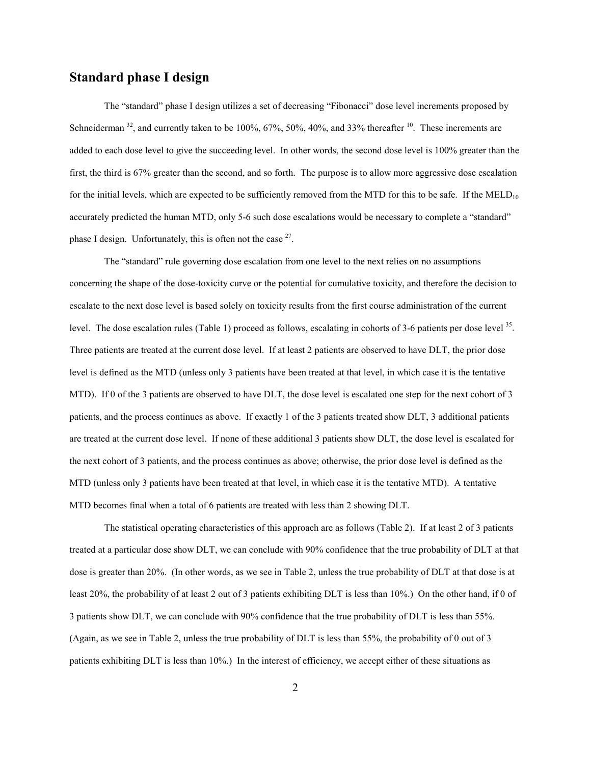## **Standard phase I design**

The "standard" phase I design utilizes a set of decreasing "Fibonacci" dose level increments proposed by Schneiderman  $32$ , and currently taken to be 100%, 67%, 50%, 40%, and 33% thereafter  $10$ . These increments are added to each dose level to give the succeeding level. In other words, the second dose level is 100% greater than the first, the third is 67% greater than the second, and so forth. The purpose is to allow more aggressive dose escalation for the initial levels, which are expected to be sufficiently removed from the MTD for this to be safe. If the  $MED<sub>10</sub>$ accurately predicted the human MTD, only 5-6 such dose escalations would be necessary to complete a "standard" phase I design. Unfortunately, this is often not the case  $27$ .

The "standard" rule governing dose escalation from one level to the next relies on no assumptions concerning the shape of the dose-toxicity curve or the potential for cumulative toxicity, and therefore the decision to escalate to the next dose level is based solely on toxicity results from the first course administration of the current level. The dose escalation rules (Table 1) proceed as follows, escalating in cohorts of 3-6 patients per dose level 35. Three patients are treated at the current dose level. If at least 2 patients are observed to have DLT, the prior dose level is defined as the MTD (unless only 3 patients have been treated at that level, in which case it is the tentative MTD). If 0 of the 3 patients are observed to have DLT, the dose level is escalated one step for the next cohort of 3 patients, and the process continues as above. If exactly 1 of the 3 patients treated show DLT, 3 additional patients are treated at the current dose level. If none of these additional 3 patients show DLT, the dose level is escalated for the next cohort of 3 patients, and the process continues as above; otherwise, the prior dose level is defined as the MTD (unless only 3 patients have been treated at that level, in which case it is the tentative MTD). A tentative MTD becomes final when a total of 6 patients are treated with less than 2 showing DLT.

The statistical operating characteristics of this approach are as follows (Table 2). If at least 2 of 3 patients treated at a particular dose show DLT, we can conclude with 90% confidence that the true probability of DLT at that dose is greater than 20%. (In other words, as we see in Table 2, unless the true probability of DLT at that dose is at least 20%, the probability of at least 2 out of 3 patients exhibiting DLT is less than 10%.) On the other hand, if 0 of 3 patients show DLT, we can conclude with 90% confidence that the true probability of DLT is less than 55%. (Again, as we see in Table 2, unless the true probability of DLT is less than 55%, the probability of 0 out of 3 patients exhibiting DLT is less than 10%.) In the interest of efficiency, we accept either of these situations as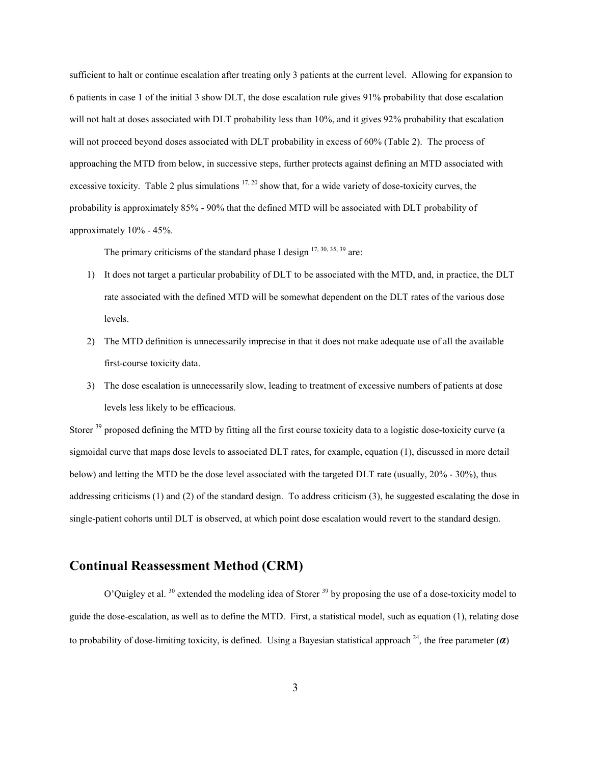sufficient to halt or continue escalation after treating only 3 patients at the current level. Allowing for expansion to 6 patients in case 1 of the initial 3 show DLT, the dose escalation rule gives 91% probability that dose escalation will not halt at doses associated with DLT probability less than 10%, and it gives 92% probability that escalation will not proceed beyond doses associated with DLT probability in excess of 60% (Table 2). The process of approaching the MTD from below, in successive steps, further protects against defining an MTD associated with excessive toxicity. Table 2 plus simulations  $17, 20$  show that, for a wide variety of dose-toxicity curves, the probability is approximately 85% - 90% that the defined MTD will be associated with DLT probability of approximately 10% - 45%.

The primary criticisms of the standard phase I design  $17, 30, 35, 39$  are:

- 1) It does not target a particular probability of DLT to be associated with the MTD, and, in practice, the DLT rate associated with the defined MTD will be somewhat dependent on the DLT rates of the various dose levels.
- 2) The MTD definition is unnecessarily imprecise in that it does not make adequate use of all the available first-course toxicity data.
- 3) The dose escalation is unnecessarily slow, leading to treatment of excessive numbers of patients at dose levels less likely to be efficacious.

Storer <sup>39</sup> proposed defining the MTD by fitting all the first course toxicity data to a logistic dose-toxicity curve (a sigmoidal curve that maps dose levels to associated DLT rates, for example, equation (1), discussed in more detail below) and letting the MTD be the dose level associated with the targeted DLT rate (usually, 20% - 30%), thus addressing criticisms (1) and (2) of the standard design. To address criticism (3), he suggested escalating the dose in single-patient cohorts until DLT is observed, at which point dose escalation would revert to the standard design.

## **Continual Reassessment Method (CRM)**

O'Quigley et al. <sup>30</sup> extended the modeling idea of Storer <sup>39</sup> by proposing the use of a dose-toxicity model to guide the dose-escalation, as well as to define the MTD. First, a statistical model, such as equation (1), relating dose to probability of dose-limiting toxicity, is defined. Using a Bayesian statistical approach  $^{24}$ , the free parameter ( $\alpha$ )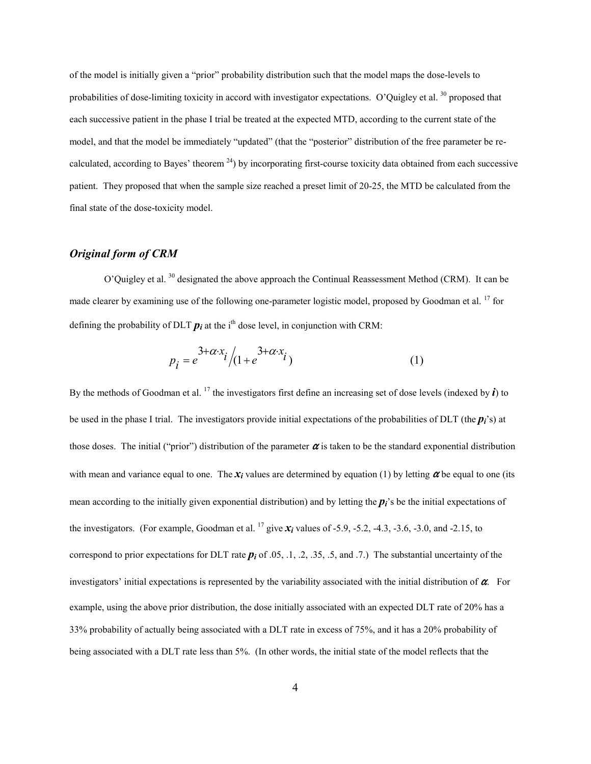of the model is initially given a "prior" probability distribution such that the model maps the dose-levels to probabilities of dose-limiting toxicity in accord with investigator expectations. O'Quigley et al.<sup>30</sup> proposed that each successive patient in the phase I trial be treated at the expected MTD, according to the current state of the model, and that the model be immediately "updated" (that the "posterior" distribution of the free parameter be recalculated, according to Bayes' theorem  $^{24}$ ) by incorporating first-course toxicity data obtained from each successive patient. They proposed that when the sample size reached a preset limit of 20-25, the MTD be calculated from the final state of the dose-toxicity model.

### *Original form of CRM*

O'Quigley et al. 30 designated the above approach the Continual Reassessment Method (CRM). It can be made clearer by examining use of the following one-parameter logistic model, proposed by Goodman et al.<sup>17</sup> for defining the probability of DLT  $p_i$  at the i<sup>th</sup> dose level, in conjunction with CRM:

$$
p_i = e^{3+\alpha \cdot x_i} / (1 + e^{3+\alpha \cdot x_i})
$$
 (1)

By the methods of Goodman et al. <sup>17</sup> the investigators first define an increasing set of dose levels (indexed by  $\vec{i}$ ) to be used in the phase I trial. The investigators provide initial expectations of the probabilities of DLT (the  $p_i$ 's) at those doses. The initial ("prior") distribution of the parameter  $\alpha$  is taken to be the standard exponential distribution with mean and variance equal to one. The  $x_i$  values are determined by equation (1) by letting  $\alpha$  be equal to one (its mean according to the initially given exponential distribution) and by letting the  $p_i$ 's be the initial expectations of the investigators. (For example, Goodman et al. <sup>17</sup> give  $\chi$ *i* values of -5.9, -5.2, -4.3, -3.6, -3.0, and -2.15, to correspond to prior expectations for DLT rate *pi* of .05, .1, .2, .35, .5, and .7.) The substantial uncertainty of the investigators' initial expectations is represented by the variability associated with the initial distribution of  $\alpha$ . For example, using the above prior distribution, the dose initially associated with an expected DLT rate of 20% has a 33% probability of actually being associated with a DLT rate in excess of 75%, and it has a 20% probability of being associated with a DLT rate less than 5%. (In other words, the initial state of the model reflects that the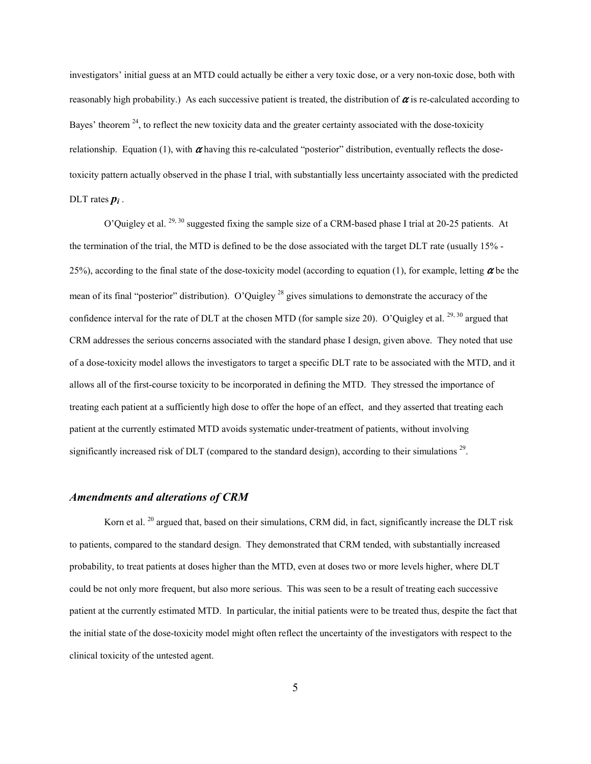investigators' initial guess at an MTD could actually be either a very toxic dose, or a very non-toxic dose, both with reasonably high probability.) As each successive patient is treated, the distribution of  $\alpha$  is re-calculated according to Bayes' theorem  $24$ , to reflect the new toxicity data and the greater certainty associated with the dose-toxicity relationship. Equation (1), with  $\alpha$  having this re-calculated "posterior" distribution, eventually reflects the dosetoxicity pattern actually observed in the phase I trial, with substantially less uncertainty associated with the predicted DLT rates  $p_i$ .

O'Quigley et al. 29, 30 suggested fixing the sample size of a CRM-based phase I trial at 20-25 patients. At the termination of the trial, the MTD is defined to be the dose associated with the target DLT rate (usually 15% - 25%), according to the final state of the dose-toxicity model (according to equation (1), for example, letting  $\alpha$  be the mean of its final "posterior" distribution). O'Quigley<sup>28</sup> gives simulations to demonstrate the accuracy of the confidence interval for the rate of DLT at the chosen MTD (for sample size 20). O'Quigley et al.  $^{29, 30}$  argued that CRM addresses the serious concerns associated with the standard phase I design, given above. They noted that use of a dose-toxicity model allows the investigators to target a specific DLT rate to be associated with the MTD, and it allows all of the first-course toxicity to be incorporated in defining the MTD. They stressed the importance of treating each patient at a sufficiently high dose to offer the hope of an effect, and they asserted that treating each patient at the currently estimated MTD avoids systematic under-treatment of patients, without involving significantly increased risk of DLT (compared to the standard design), according to their simulations<sup>29</sup>.

#### *Amendments and alterations of CRM*

Korn et al. <sup>20</sup> argued that, based on their simulations, CRM did, in fact, significantly increase the DLT risk to patients, compared to the standard design. They demonstrated that CRM tended, with substantially increased probability, to treat patients at doses higher than the MTD, even at doses two or more levels higher, where DLT could be not only more frequent, but also more serious. This was seen to be a result of treating each successive patient at the currently estimated MTD. In particular, the initial patients were to be treated thus, despite the fact that the initial state of the dose-toxicity model might often reflect the uncertainty of the investigators with respect to the clinical toxicity of the untested agent.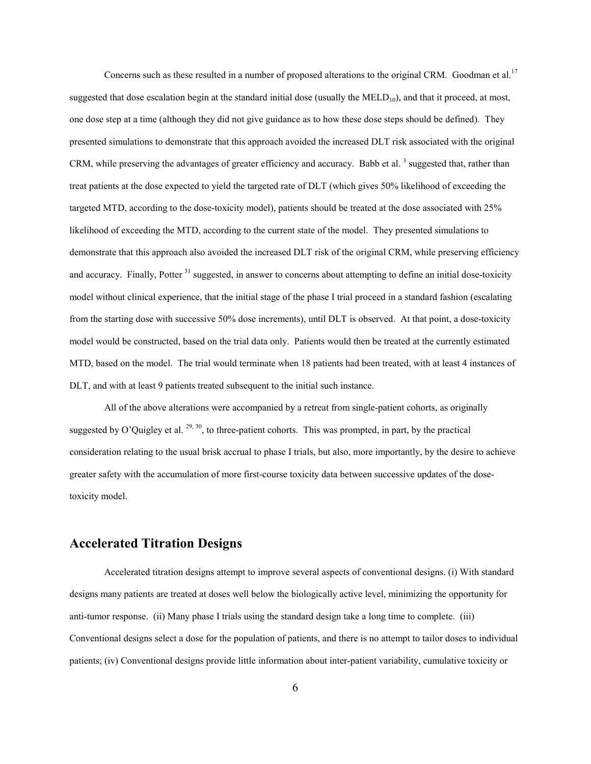Concerns such as these resulted in a number of proposed alterations to the original CRM. Goodman et al.<sup>17</sup> suggested that dose escalation begin at the standard initial dose (usually the  $MELD_{10}$ ), and that it proceed, at most, one dose step at a time (although they did not give guidance as to how these dose steps should be defined). They presented simulations to demonstrate that this approach avoided the increased DLT risk associated with the original CRM, while preserving the advantages of greater efficiency and accuracy. Babb et al.<sup>3</sup> suggested that, rather than treat patients at the dose expected to yield the targeted rate of DLT (which gives 50% likelihood of exceeding the targeted MTD, according to the dose-toxicity model), patients should be treated at the dose associated with 25% likelihood of exceeding the MTD, according to the current state of the model. They presented simulations to demonstrate that this approach also avoided the increased DLT risk of the original CRM, while preserving efficiency and accuracy. Finally, Potter<sup>31</sup> suggested, in answer to concerns about attempting to define an initial dose-toxicity model without clinical experience, that the initial stage of the phase I trial proceed in a standard fashion (escalating from the starting dose with successive 50% dose increments), until DLT is observed. At that point, a dose-toxicity model would be constructed, based on the trial data only. Patients would then be treated at the currently estimated MTD, based on the model. The trial would terminate when 18 patients had been treated, with at least 4 instances of DLT, and with at least 9 patients treated subsequent to the initial such instance.

All of the above alterations were accompanied by a retreat from single-patient cohorts, as originally suggested by O'Quigley et al.  $^{29, 30}$ , to three-patient cohorts. This was prompted, in part, by the practical consideration relating to the usual brisk accrual to phase I trials, but also, more importantly, by the desire to achieve greater safety with the accumulation of more first-course toxicity data between successive updates of the dosetoxicity model.

## **Accelerated Titration Designs**

Accelerated titration designs attempt to improve several aspects of conventional designs. (i) With standard designs many patients are treated at doses well below the biologically active level, minimizing the opportunity for anti-tumor response. (ii) Many phase I trials using the standard design take a long time to complete. (iii) Conventional designs select a dose for the population of patients, and there is no attempt to tailor doses to individual patients; (iv) Conventional designs provide little information about inter-patient variability, cumulative toxicity or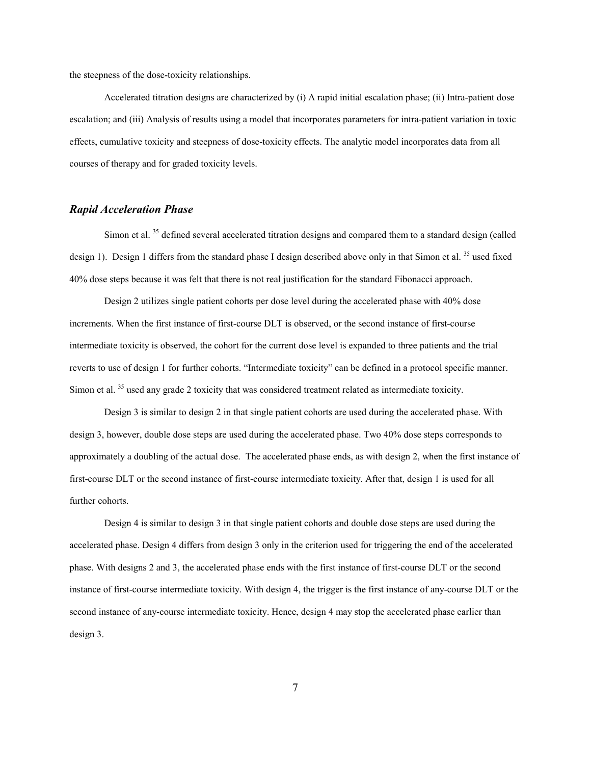the steepness of the dose-toxicity relationships.

Accelerated titration designs are characterized by (i) A rapid initial escalation phase; (ii) Intra-patient dose escalation; and (iii) Analysis of results using a model that incorporates parameters for intra-patient variation in toxic effects, cumulative toxicity and steepness of dose-toxicity effects. The analytic model incorporates data from all courses of therapy and for graded toxicity levels.

## *Rapid Acceleration Phase*

Simon et al.<sup>35</sup> defined several accelerated titration designs and compared them to a standard design (called design 1). Design 1 differs from the standard phase I design described above only in that Simon et al.<sup>35</sup> used fixed 40% dose steps because it was felt that there is not real justification for the standard Fibonacci approach.

Design 2 utilizes single patient cohorts per dose level during the accelerated phase with 40% dose increments. When the first instance of first-course DLT is observed, or the second instance of first-course intermediate toxicity is observed, the cohort for the current dose level is expanded to three patients and the trial reverts to use of design 1 for further cohorts. "Intermediate toxicity" can be defined in a protocol specific manner. Simon et al. <sup>35</sup> used any grade 2 toxicity that was considered treatment related as intermediate toxicity.

Design 3 is similar to design 2 in that single patient cohorts are used during the accelerated phase. With design 3, however, double dose steps are used during the accelerated phase. Two 40% dose steps corresponds to approximately a doubling of the actual dose. The accelerated phase ends, as with design 2, when the first instance of first-course DLT or the second instance of first-course intermediate toxicity. After that, design 1 is used for all further cohorts.

Design 4 is similar to design 3 in that single patient cohorts and double dose steps are used during the accelerated phase. Design 4 differs from design 3 only in the criterion used for triggering the end of the accelerated phase. With designs 2 and 3, the accelerated phase ends with the first instance of first-course DLT or the second instance of first-course intermediate toxicity. With design 4, the trigger is the first instance of any-course DLT or the second instance of any-course intermediate toxicity. Hence, design 4 may stop the accelerated phase earlier than design 3.

7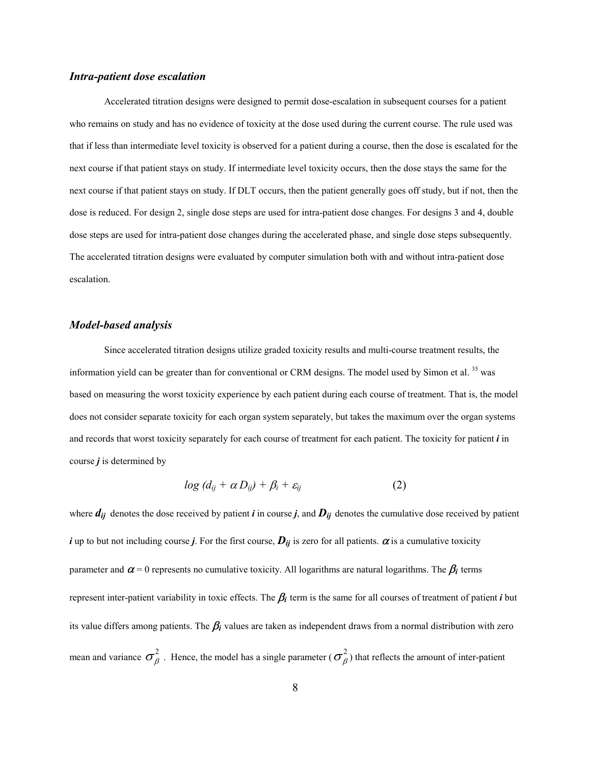### *Intra-patient dose escalation*

Accelerated titration designs were designed to permit dose-escalation in subsequent courses for a patient who remains on study and has no evidence of toxicity at the dose used during the current course. The rule used was that if less than intermediate level toxicity is observed for a patient during a course, then the dose is escalated for the next course if that patient stays on study. If intermediate level toxicity occurs, then the dose stays the same for the next course if that patient stays on study. If DLT occurs, then the patient generally goes off study, but if not, then the dose is reduced. For design 2, single dose steps are used for intra-patient dose changes. For designs 3 and 4, double dose steps are used for intra-patient dose changes during the accelerated phase, and single dose steps subsequently. The accelerated titration designs were evaluated by computer simulation both with and without intra-patient dose escalation.

#### *Model-based analysis*

Since accelerated titration designs utilize graded toxicity results and multi-course treatment results, the information yield can be greater than for conventional or CRM designs. The model used by Simon et al. 35 was based on measuring the worst toxicity experience by each patient during each course of treatment. That is, the model does not consider separate toxicity for each organ system separately, but takes the maximum over the organ systems and records that worst toxicity separately for each course of treatment for each patient. The toxicity for patient *i* in course *j* is determined by

$$
log (d_{ij} + \alpha D_{ij}) + \beta_i + \varepsilon_{ij}
$$
 (2)

where  $d_{ij}$  denotes the dose received by patient *i* in course *j*, and  $D_{ij}$  denotes the cumulative dose received by patient *i* up to but not including course *j*. For the first course,  $D_{ij}$  is zero for all patients.  $\alpha$  is a cumulative toxicity parameter and  $\alpha$  = 0 represents no cumulative toxicity. All logarithms are natural logarithms. The  $\beta_i$  terms represent inter-patient variability in toxic effects. The  $\beta_i$  term is the same for all courses of treatment of patient  $i$  but its value differs among patients. The  $\beta_i$  values are taken as independent draws from a normal distribution with zero mean and variance  $\sigma_a^2$ . Hence, the model has a single parameter ( $\sigma_a^2$ ) that reflects the amount of inter-patient β 2 β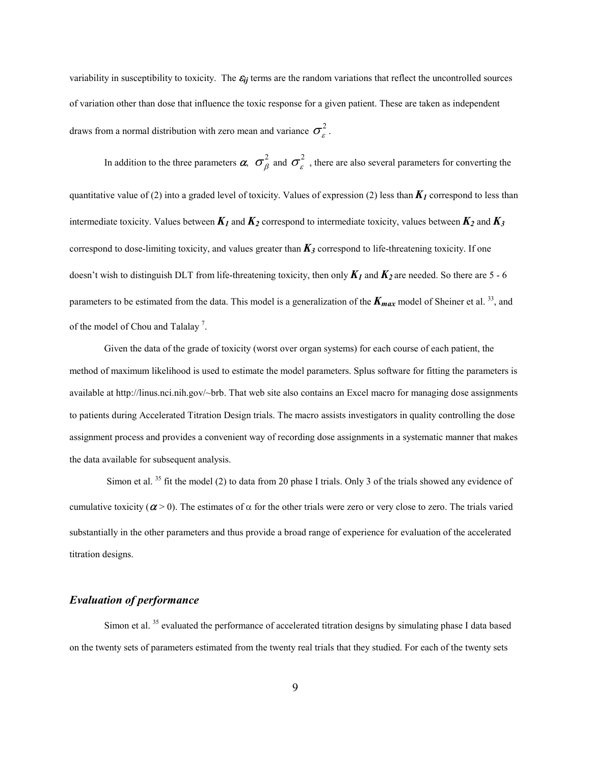variability in susceptibility to toxicity. The  $\varepsilon_{ij}$  terms are the random variations that reflect the uncontrolled sources of variation other than dose that influence the toxic response for a given patient. These are taken as independent draws from a normal distribution with zero mean and variance  $\sigma_{\varepsilon}^2$ .

In addition to the three parameters  $\alpha$ ,  $\sigma_{\beta}^2$  and  $\sigma_{\gamma}^2$ , there are also several parameters for converting the quantitative value of (2) into a graded level of toxicity. Values of expression (2) less than *K 1* correspond to less than β 2  $\epsilon$ intermediate toxicity. Values between  $K_1$  and  $K_2$  correspond to intermediate toxicity, values between  $K_2$  and  $K_3$ correspond to dose-limiting toxicity, and values greater than  $K_3$  correspond to life-threatening toxicity. If one doesn't wish to distinguish DLT from life-threatening toxicity, then only  $K_1$  and  $K_2$  are needed. So there are 5 - 6 parameters to be estimated from the data. This model is a generalization of the  $K_{max}$  model of Sheiner et al. <sup>33</sup>, and of the model of Chou and Talalay<sup>7</sup>.

Given the data of the grade of toxicity (worst over organ systems) for each course of each patient, the method of maximum likelihood is used to estimate the model parameters. Splus software for fitting the parameters is available at http://linus.nci.nih.gov/~brb. That web site also contains an Excel macro for managing dose assignments to patients during Accelerated Titration Design trials. The macro assists investigators in quality controlling the dose assignment process and provides a convenient way of recording dose assignments in a systematic manner that makes the data available for subsequent analysis.

Simon et al. <sup>35</sup> fit the model (2) to data from 20 phase I trials. Only 3 of the trials showed any evidence of cumulative toxicity ( $\alpha$  > 0). The estimates of  $\alpha$  for the other trials were zero or very close to zero. The trials varied substantially in the other parameters and thus provide a broad range of experience for evaluation of the accelerated titration designs.

### *Evaluation of performance*

Simon et al.  $35$  evaluated the performance of accelerated titration designs by simulating phase I data based on the twenty sets of parameters estimated from the twenty real trials that they studied. For each of the twenty sets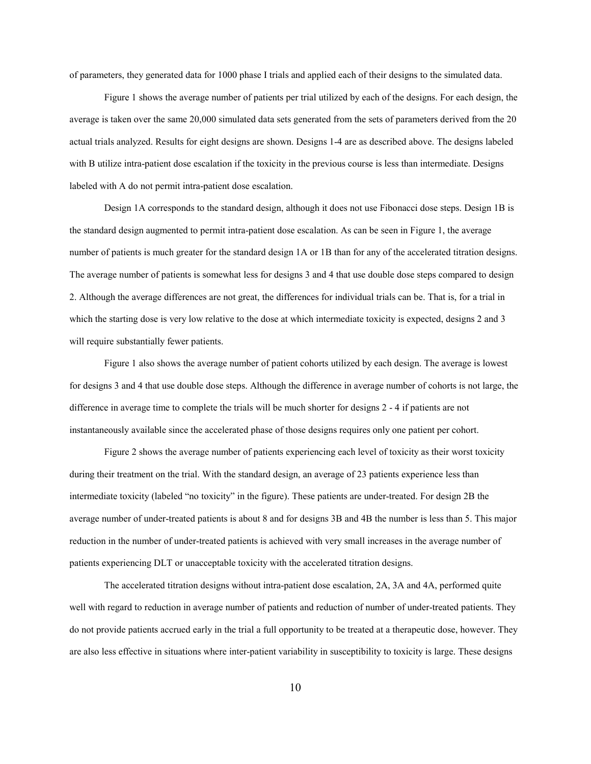of parameters, they generated data for 1000 phase I trials and applied each of their designs to the simulated data.

Figure 1 shows the average number of patients per trial utilized by each of the designs. For each design, the average is taken over the same 20,000 simulated data sets generated from the sets of parameters derived from the 20 actual trials analyzed. Results for eight designs are shown. Designs 1-4 are as described above. The designs labeled with B utilize intra-patient dose escalation if the toxicity in the previous course is less than intermediate. Designs labeled with A do not permit intra-patient dose escalation.

Design 1A corresponds to the standard design, although it does not use Fibonacci dose steps. Design 1B is the standard design augmented to permit intra-patient dose escalation. As can be seen in Figure 1, the average number of patients is much greater for the standard design 1A or 1B than for any of the accelerated titration designs. The average number of patients is somewhat less for designs 3 and 4 that use double dose steps compared to design 2. Although the average differences are not great, the differences for individual trials can be. That is, for a trial in which the starting dose is very low relative to the dose at which intermediate toxicity is expected, designs 2 and 3 will require substantially fewer patients.

Figure 1 also shows the average number of patient cohorts utilized by each design. The average is lowest for designs 3 and 4 that use double dose steps. Although the difference in average number of cohorts is not large, the difference in average time to complete the trials will be much shorter for designs 2 - 4 if patients are not instantaneously available since the accelerated phase of those designs requires only one patient per cohort.

Figure 2 shows the average number of patients experiencing each level of toxicity as their worst toxicity during their treatment on the trial. With the standard design, an average of 23 patients experience less than intermediate toxicity (labeled "no toxicity" in the figure). These patients are under-treated. For design 2B the average number of under-treated patients is about 8 and for designs 3B and 4B the number is less than 5. This major reduction in the number of under-treated patients is achieved with very small increases in the average number of patients experiencing DLT or unacceptable toxicity with the accelerated titration designs.

The accelerated titration designs without intra-patient dose escalation, 2A, 3A and 4A, performed quite well with regard to reduction in average number of patients and reduction of number of under-treated patients. They do not provide patients accrued early in the trial a full opportunity to be treated at a therapeutic dose, however. They are also less effective in situations where inter-patient variability in susceptibility to toxicity is large. These designs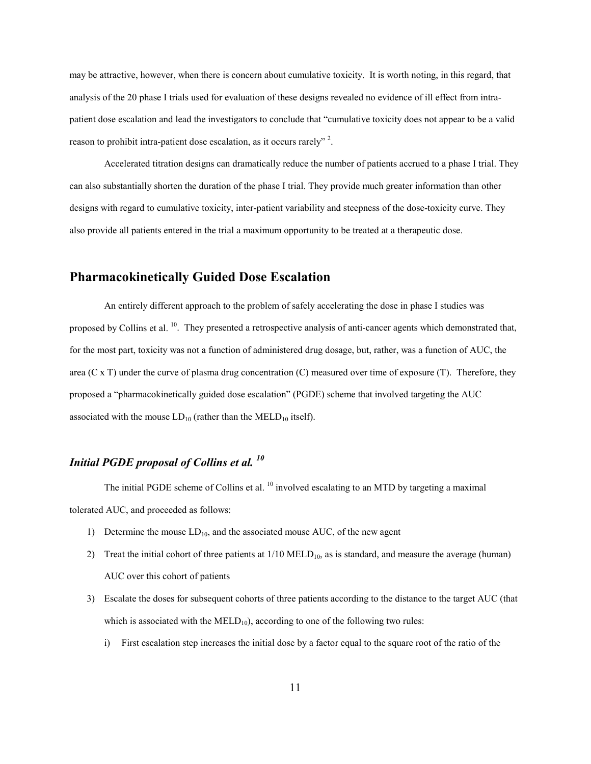may be attractive, however, when there is concern about cumulative toxicity. It is worth noting, in this regard, that analysis of the 20 phase I trials used for evaluation of these designs revealed no evidence of ill effect from intrapatient dose escalation and lead the investigators to conclude that "cumulative toxicity does not appear to be a valid reason to prohibit intra-patient dose escalation, as it occurs rarely"<sup>2</sup>.

Accelerated titration designs can dramatically reduce the number of patients accrued to a phase I trial. They can also substantially shorten the duration of the phase I trial. They provide much greater information than other designs with regard to cumulative toxicity, inter-patient variability and steepness of the dose-toxicity curve. They also provide all patients entered in the trial a maximum opportunity to be treated at a therapeutic dose.

# **Pharmacokinetically Guided Dose Escalation**

An entirely different approach to the problem of safely accelerating the dose in phase I studies was proposed by Collins et al. <sup>10</sup>. They presented a retrospective analysis of anti-cancer agents which demonstrated that, for the most part, toxicity was not a function of administered drug dosage, but, rather, was a function of AUC, the area (C x T) under the curve of plasma drug concentration (C) measured over time of exposure (T). Therefore, they proposed a "pharmacokinetically guided dose escalation" (PGDE) scheme that involved targeting the AUC associated with the mouse  $LD_{10}$  (rather than the MELD<sub>10</sub> itself).

# *Initial PGDE proposal of Collins et al. <sup>10</sup>*

The initial PGDE scheme of Collins et al. <sup>10</sup> involved escalating to an MTD by targeting a maximal tolerated AUC, and proceeded as follows:

- 1) Determine the mouse  $LD_{10}$ , and the associated mouse AUC, of the new agent
- 2) Treat the initial cohort of three patients at  $1/10$  MELD<sub>10</sub>, as is standard, and measure the average (human) AUC over this cohort of patients
- 3) Escalate the doses for subsequent cohorts of three patients according to the distance to the target AUC (that which is associated with the  $MELD_{10}$ , according to one of the following two rules:
	- i) First escalation step increases the initial dose by a factor equal to the square root of the ratio of the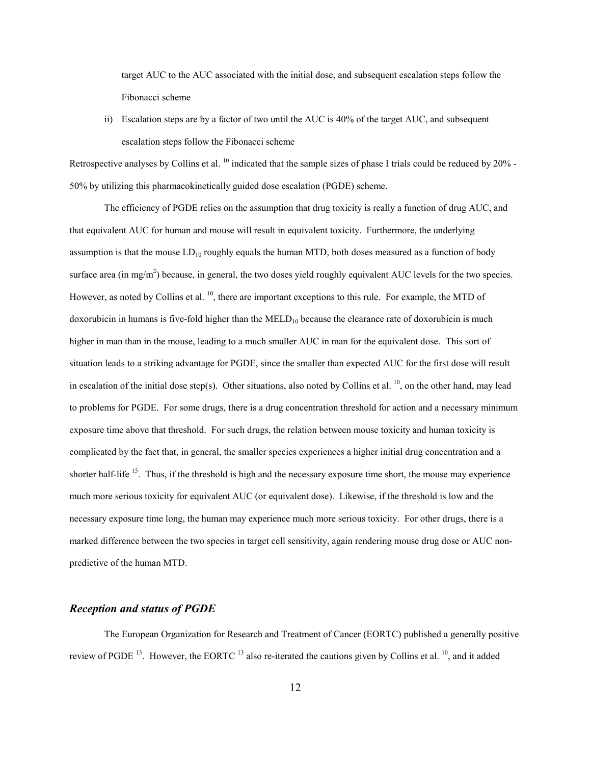target AUC to the AUC associated with the initial dose, and subsequent escalation steps follow the Fibonacci scheme

ii) Escalation steps are by a factor of two until the AUC is 40% of the target AUC, and subsequent escalation steps follow the Fibonacci scheme

Retrospective analyses by Collins et al. <sup>10</sup> indicated that the sample sizes of phase I trials could be reduced by 20% -50% by utilizing this pharmacokinetically guided dose escalation (PGDE) scheme.

The efficiency of PGDE relies on the assumption that drug toxicity is really a function of drug AUC, and that equivalent AUC for human and mouse will result in equivalent toxicity. Furthermore, the underlying assumption is that the mouse  $LD_{10}$  roughly equals the human MTD, both doses measured as a function of body surface area (in mg/m<sup>2</sup>) because, in general, the two doses yield roughly equivalent AUC levels for the two species. However, as noted by Collins et al. <sup>10</sup>, there are important exceptions to this rule. For example, the MTD of doxorubicin in humans is five-fold higher than the  $\text{MED}_{10}$  because the clearance rate of doxorubicin is much higher in man than in the mouse, leading to a much smaller AUC in man for the equivalent dose. This sort of situation leads to a striking advantage for PGDE, since the smaller than expected AUC for the first dose will result in escalation of the initial dose step(s). Other situations, also noted by Collins et al.  $^{10}$ , on the other hand, may lead to problems for PGDE. For some drugs, there is a drug concentration threshold for action and a necessary minimum exposure time above that threshold. For such drugs, the relation between mouse toxicity and human toxicity is complicated by the fact that, in general, the smaller species experiences a higher initial drug concentration and a shorter half-life <sup>15</sup>. Thus, if the threshold is high and the necessary exposure time short, the mouse may experience much more serious toxicity for equivalent AUC (or equivalent dose). Likewise, if the threshold is low and the necessary exposure time long, the human may experience much more serious toxicity. For other drugs, there is a marked difference between the two species in target cell sensitivity, again rendering mouse drug dose or AUC nonpredictive of the human MTD.

#### *Reception and status of PGDE*

The European Organization for Research and Treatment of Cancer (EORTC) published a generally positive review of PGDE <sup>13</sup>. However, the EORTC <sup>13</sup> also re-iterated the cautions given by Collins et al. <sup>10</sup>, and it added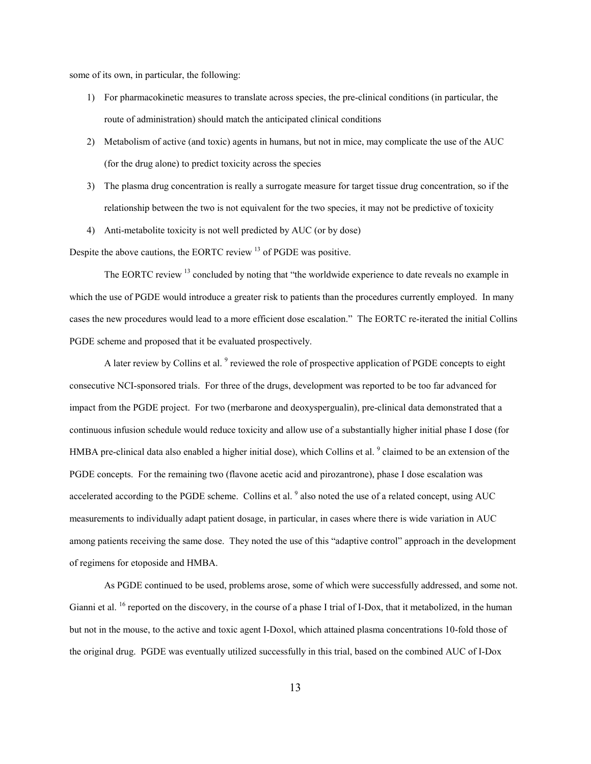some of its own, in particular, the following:

- 1) For pharmacokinetic measures to translate across species, the pre-clinical conditions (in particular, the route of administration) should match the anticipated clinical conditions
- 2) Metabolism of active (and toxic) agents in humans, but not in mice, may complicate the use of the AUC (for the drug alone) to predict toxicity across the species
- 3) The plasma drug concentration is really a surrogate measure for target tissue drug concentration, so if the relationship between the two is not equivalent for the two species, it may not be predictive of toxicity
- 4) Anti-metabolite toxicity is not well predicted by AUC (or by dose)

Despite the above cautions, the EORTC review <sup>13</sup> of PGDE was positive.

The EORTC review <sup>13</sup> concluded by noting that "the worldwide experience to date reveals no example in which the use of PGDE would introduce a greater risk to patients than the procedures currently employed. In many cases the new procedures would lead to a more efficient dose escalation." The EORTC re-iterated the initial Collins PGDE scheme and proposed that it be evaluated prospectively.

A later review by Collins et al. <sup>9</sup> reviewed the role of prospective application of PGDE concepts to eight consecutive NCI-sponsored trials. For three of the drugs, development was reported to be too far advanced for impact from the PGDE project. For two (merbarone and deoxyspergualin), pre-clinical data demonstrated that a continuous infusion schedule would reduce toxicity and allow use of a substantially higher initial phase I dose (for HMBA pre-clinical data also enabled a higher initial dose), which Collins et al.  $9$  claimed to be an extension of the PGDE concepts. For the remaining two (flavone acetic acid and pirozantrone), phase I dose escalation was accelerated according to the PGDE scheme. Collins et al. <sup>9</sup> also noted the use of a related concept, using AUC measurements to individually adapt patient dosage, in particular, in cases where there is wide variation in AUC among patients receiving the same dose. They noted the use of this "adaptive control" approach in the development of regimens for etoposide and HMBA.

As PGDE continued to be used, problems arose, some of which were successfully addressed, and some not. Gianni et al. <sup>16</sup> reported on the discovery, in the course of a phase I trial of I-Dox, that it metabolized, in the human but not in the mouse, to the active and toxic agent I-Doxol, which attained plasma concentrations 10-fold those of the original drug. PGDE was eventually utilized successfully in this trial, based on the combined AUC of I-Dox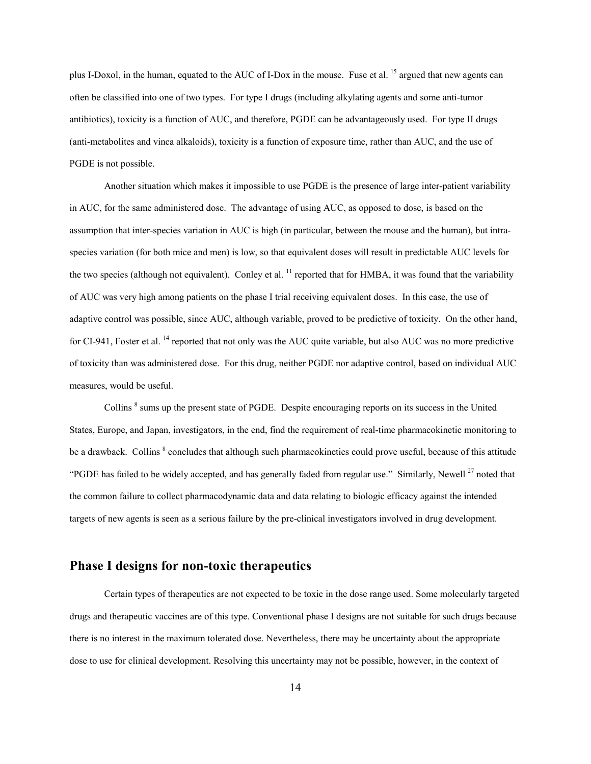plus I-Doxol, in the human, equated to the AUC of I-Dox in the mouse. Fuse et al. <sup>15</sup> argued that new agents can often be classified into one of two types. For type I drugs (including alkylating agents and some anti-tumor antibiotics), toxicity is a function of AUC, and therefore, PGDE can be advantageously used. For type II drugs (anti-metabolites and vinca alkaloids), toxicity is a function of exposure time, rather than AUC, and the use of PGDE is not possible.

Another situation which makes it impossible to use PGDE is the presence of large inter-patient variability in AUC, for the same administered dose. The advantage of using AUC, as opposed to dose, is based on the assumption that inter-species variation in AUC is high (in particular, between the mouse and the human), but intraspecies variation (for both mice and men) is low, so that equivalent doses will result in predictable AUC levels for the two species (although not equivalent). Conley et al.  $^{11}$  reported that for HMBA, it was found that the variability of AUC was very high among patients on the phase I trial receiving equivalent doses. In this case, the use of adaptive control was possible, since AUC, although variable, proved to be predictive of toxicity. On the other hand, for CI-941, Foster et al. <sup>14</sup> reported that not only was the AUC quite variable, but also AUC was no more predictive of toxicity than was administered dose. For this drug, neither PGDE nor adaptive control, based on individual AUC measures, would be useful.

Collins <sup>8</sup> sums up the present state of PGDE. Despite encouraging reports on its success in the United States, Europe, and Japan, investigators, in the end, find the requirement of real-time pharmacokinetic monitoring to be a drawback. Collins <sup>8</sup> concludes that although such pharmacokinetics could prove useful, because of this attitude "PGDE has failed to be widely accepted, and has generally faded from regular use." Similarly, Newell<sup>27</sup> noted that the common failure to collect pharmacodynamic data and data relating to biologic efficacy against the intended targets of new agents is seen as a serious failure by the pre-clinical investigators involved in drug development.

## **Phase I designs for non-toxic therapeutics**

Certain types of therapeutics are not expected to be toxic in the dose range used. Some molecularly targeted drugs and therapeutic vaccines are of this type. Conventional phase I designs are not suitable for such drugs because there is no interest in the maximum tolerated dose. Nevertheless, there may be uncertainty about the appropriate dose to use for clinical development. Resolving this uncertainty may not be possible, however, in the context of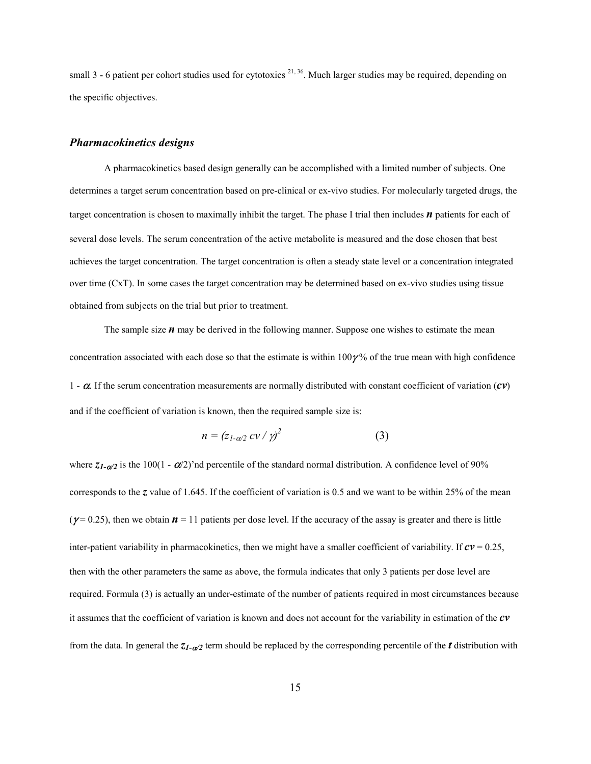small 3 - 6 patient per cohort studies used for cytotoxics  $2^{1,36}$ . Much larger studies may be required, depending on the specific objectives.

### *Pharmacokinetics designs*

A pharmacokinetics based design generally can be accomplished with a limited number of subjects. One determines a target serum concentration based on pre-clinical or ex-vivo studies. For molecularly targeted drugs, the target concentration is chosen to maximally inhibit the target. The phase I trial then includes *n* patients for each of several dose levels. The serum concentration of the active metabolite is measured and the dose chosen that best achieves the target concentration. The target concentration is often a steady state level or a concentration integrated over time (CxT). In some cases the target concentration may be determined based on ex-vivo studies using tissue obtained from subjects on the trial but prior to treatment.

The sample size *n* may be derived in the following manner. Suppose one wishes to estimate the mean concentration associated with each dose so that the estimate is within  $100\gamma$ % of the true mean with high confidence 1 -  $\alpha$ . If the serum concentration measurements are normally distributed with constant coefficient of variation  $(cv)$ and if the coefficient of variation is known, then the required sample size is:

$$
n = (z_{1-\alpha/2} c v / \gamma)^2 \tag{3}
$$

where  $z_{1-\alpha/2}$  is the 100(1 -  $\alpha/2$ )'nd percentile of the standard normal distribution. A confidence level of 90% corresponds to the *z* value of 1.645. If the coefficient of variation is 0.5 and we want to be within 25% of the mean ( $\gamma$ = 0.25), then we obtain  $\boldsymbol{n}$  = 11 patients per dose level. If the accuracy of the assay is greater and there is little inter-patient variability in pharmacokinetics, then we might have a smaller coefficient of variability. If  $c\mathbf{v} = 0.25$ , then with the other parameters the same as above, the formula indicates that only 3 patients per dose level are required. Formula (3) is actually an under-estimate of the number of patients required in most circumstances because it assumes that the coefficient of variation is known and does not account for the variability in estimation of the *cv* from the data. In general the  $z_1$ - $\alpha$ <sub>2</sub> term should be replaced by the corresponding percentile of the *t* distribution with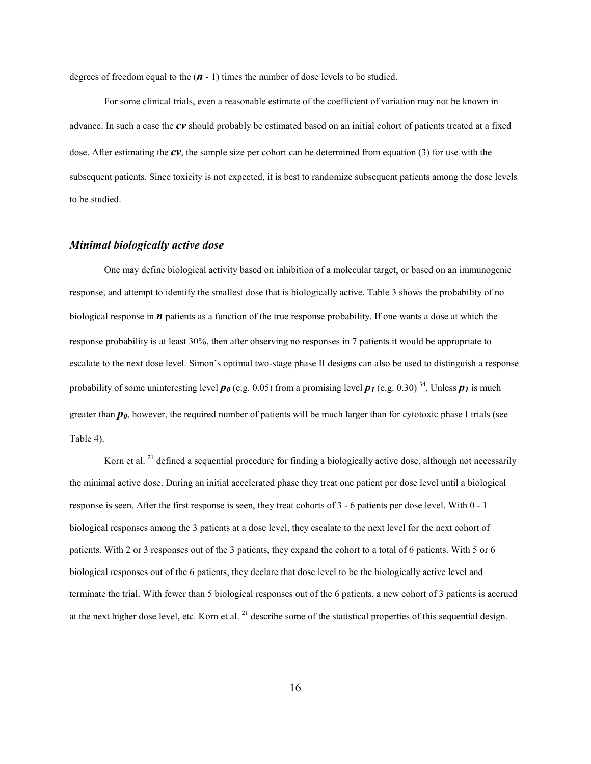degrees of freedom equal to the (*n* - 1) times the number of dose levels to be studied.

For some clinical trials, even a reasonable estimate of the coefficient of variation may not be known in advance. In such a case the *cv* should probably be estimated based on an initial cohort of patients treated at a fixed dose. After estimating the *cv*, the sample size per cohort can be determined from equation (3) for use with the subsequent patients. Since toxicity is not expected, it is best to randomize subsequent patients among the dose levels to be studied.

### *Minimal biologically active dose*

One may define biological activity based on inhibition of a molecular target, or based on an immunogenic response, and attempt to identify the smallest dose that is biologically active. Table 3 shows the probability of no biological response in *n* patients as a function of the true response probability. If one wants a dose at which the response probability is at least 30%, then after observing no responses in 7 patients it would be appropriate to escalate to the next dose level. Simon's optimal two-stage phase II designs can also be used to distinguish a response probability of some uninteresting level  $p_0$  (e.g. 0.05) from a promising level  $p_1$  (e.g. 0.30) <sup>34</sup>. Unless  $p_1$  is much greater than  $p_0$ , however, the required number of patients will be much larger than for cytotoxic phase I trials (see Table 4).

Korn et al. <sup>21</sup> defined a sequential procedure for finding a biologically active dose, although not necessarily the minimal active dose. During an initial accelerated phase they treat one patient per dose level until a biological response is seen. After the first response is seen, they treat cohorts of 3 - 6 patients per dose level. With 0 - 1 biological responses among the 3 patients at a dose level, they escalate to the next level for the next cohort of patients. With 2 or 3 responses out of the 3 patients, they expand the cohort to a total of 6 patients. With 5 or 6 biological responses out of the 6 patients, they declare that dose level to be the biologically active level and terminate the trial. With fewer than 5 biological responses out of the 6 patients, a new cohort of 3 patients is accrued at the next higher dose level, etc. Korn et al. <sup>21</sup> describe some of the statistical properties of this sequential design.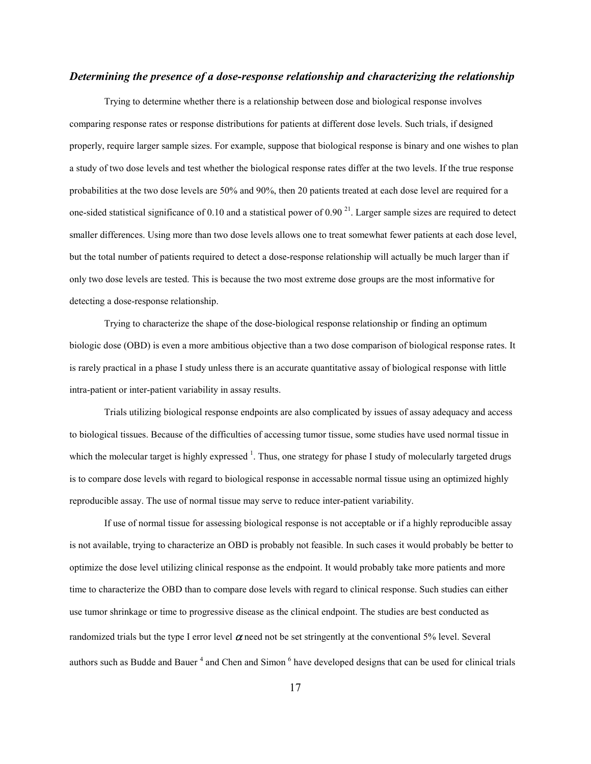### *Determining the presence of a dose-response relationship and characterizing the relationship*

Trying to determine whether there is a relationship between dose and biological response involves comparing response rates or response distributions for patients at different dose levels. Such trials, if designed properly, require larger sample sizes. For example, suppose that biological response is binary and one wishes to plan a study of two dose levels and test whether the biological response rates differ at the two levels. If the true response probabilities at the two dose levels are 50% and 90%, then 20 patients treated at each dose level are required for a one-sided statistical significance of 0.10 and a statistical power of 0.90 $^{21}$ . Larger sample sizes are required to detect smaller differences. Using more than two dose levels allows one to treat somewhat fewer patients at each dose level, but the total number of patients required to detect a dose-response relationship will actually be much larger than if only two dose levels are tested. This is because the two most extreme dose groups are the most informative for detecting a dose-response relationship.

Trying to characterize the shape of the dose-biological response relationship or finding an optimum biologic dose (OBD) is even a more ambitious objective than a two dose comparison of biological response rates. It is rarely practical in a phase I study unless there is an accurate quantitative assay of biological response with little intra-patient or inter-patient variability in assay results.

Trials utilizing biological response endpoints are also complicated by issues of assay adequacy and access to biological tissues. Because of the difficulties of accessing tumor tissue, some studies have used normal tissue in which the molecular target is highly expressed  $^1$ . Thus, one strategy for phase I study of molecularly targeted drugs is to compare dose levels with regard to biological response in accessable normal tissue using an optimized highly reproducible assay. The use of normal tissue may serve to reduce inter-patient variability.

If use of normal tissue for assessing biological response is not acceptable or if a highly reproducible assay is not available, trying to characterize an OBD is probably not feasible. In such cases it would probably be better to optimize the dose level utilizing clinical response as the endpoint. It would probably take more patients and more time to characterize the OBD than to compare dose levels with regard to clinical response. Such studies can either use tumor shrinkage or time to progressive disease as the clinical endpoint. The studies are best conducted as randomized trials but the type I error level  $\alpha$  need not be set stringently at the conventional 5% level. Several authors such as Budde and Bauer<sup>4</sup> and Chen and Simon<sup>6</sup> have developed designs that can be used for clinical trials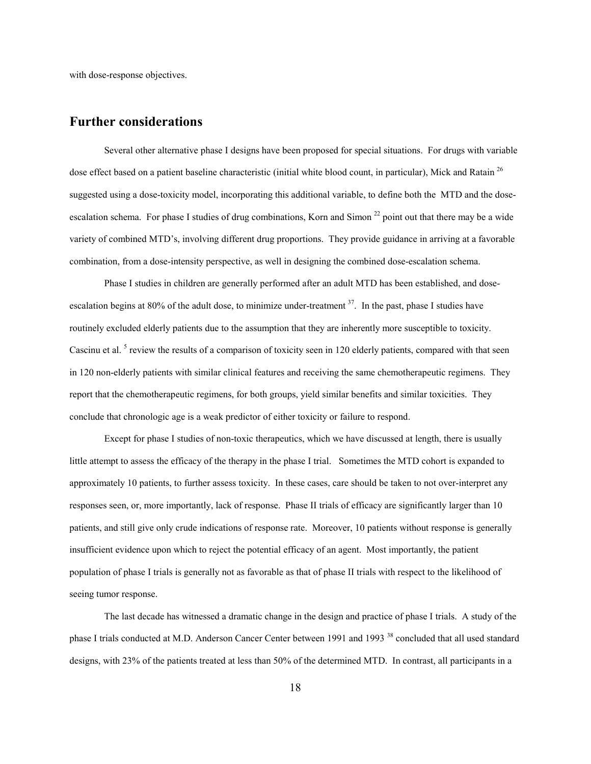with dose-response objectives.

## **Further considerations**

Several other alternative phase I designs have been proposed for special situations. For drugs with variable dose effect based on a patient baseline characteristic (initial white blood count, in particular), Mick and Ratain<sup>26</sup> suggested using a dose-toxicity model, incorporating this additional variable, to define both the MTD and the doseescalation schema. For phase I studies of drug combinations, Korn and Simon  $^{22}$  point out that there may be a wide variety of combined MTD's, involving different drug proportions. They provide guidance in arriving at a favorable combination, from a dose-intensity perspective, as well in designing the combined dose-escalation schema.

Phase I studies in children are generally performed after an adult MTD has been established, and doseescalation begins at 80% of the adult dose, to minimize under-treatment <sup>37</sup>. In the past, phase I studies have routinely excluded elderly patients due to the assumption that they are inherently more susceptible to toxicity. Cascinu et al.<sup>5</sup> review the results of a comparison of toxicity seen in 120 elderly patients, compared with that seen in 120 non-elderly patients with similar clinical features and receiving the same chemotherapeutic regimens. They report that the chemotherapeutic regimens, for both groups, yield similar benefits and similar toxicities. They conclude that chronologic age is a weak predictor of either toxicity or failure to respond.

Except for phase I studies of non-toxic therapeutics, which we have discussed at length, there is usually little attempt to assess the efficacy of the therapy in the phase I trial. Sometimes the MTD cohort is expanded to approximately 10 patients, to further assess toxicity. In these cases, care should be taken to not over-interpret any responses seen, or, more importantly, lack of response. Phase II trials of efficacy are significantly larger than 10 patients, and still give only crude indications of response rate. Moreover, 10 patients without response is generally insufficient evidence upon which to reject the potential efficacy of an agent. Most importantly, the patient population of phase I trials is generally not as favorable as that of phase II trials with respect to the likelihood of seeing tumor response.

The last decade has witnessed a dramatic change in the design and practice of phase I trials. A study of the phase I trials conducted at M.D. Anderson Cancer Center between 1991 and 1993<sup>38</sup> concluded that all used standard designs, with 23% of the patients treated at less than 50% of the determined MTD. In contrast, all participants in a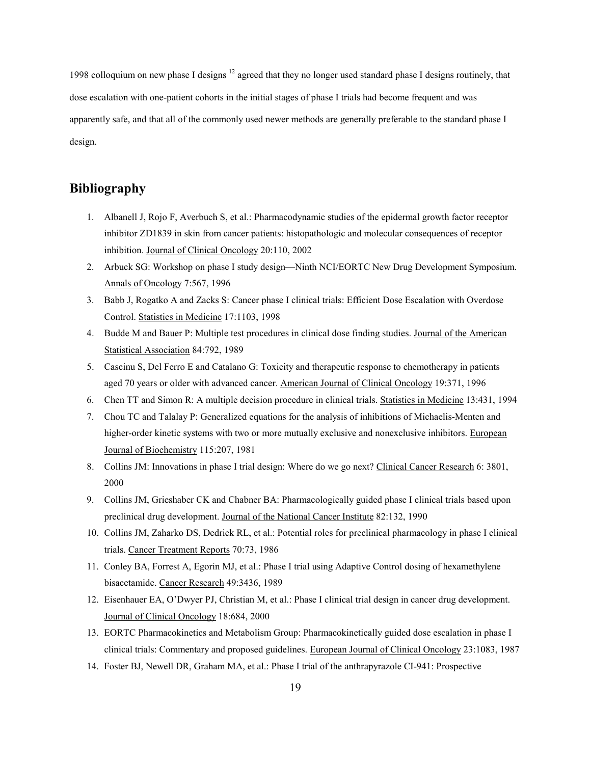1998 colloquium on new phase I designs 12 agreed that they no longer used standard phase I designs routinely, that dose escalation with one-patient cohorts in the initial stages of phase I trials had become frequent and was apparently safe, and that all of the commonly used newer methods are generally preferable to the standard phase I design.

## **Bibliography**

- 1. Albanell J, Rojo F, Averbuch S, et al.: Pharmacodynamic studies of the epidermal growth factor receptor inhibitor ZD1839 in skin from cancer patients: histopathologic and molecular consequences of receptor inhibition. Journal of Clinical Oncology 20:110, 2002
- 2. Arbuck SG: Workshop on phase I study design—Ninth NCI/EORTC New Drug Development Symposium. Annals of Oncology 7:567, 1996
- 3. Babb J, Rogatko A and Zacks S: Cancer phase I clinical trials: Efficient Dose Escalation with Overdose Control. Statistics in Medicine 17:1103, 1998
- 4. Budde M and Bauer P: Multiple test procedures in clinical dose finding studies. Journal of the American Statistical Association 84:792, 1989
- 5. Cascinu S, Del Ferro E and Catalano G: Toxicity and therapeutic response to chemotherapy in patients aged 70 years or older with advanced cancer. American Journal of Clinical Oncology 19:371, 1996
- 6. Chen TT and Simon R: A multiple decision procedure in clinical trials. Statistics in Medicine 13:431, 1994
- 7. Chou TC and Talalay P: Generalized equations for the analysis of inhibitions of Michaelis-Menten and higher-order kinetic systems with two or more mutually exclusive and nonexclusive inhibitors. European Journal of Biochemistry 115:207, 1981
- 8. Collins JM: Innovations in phase I trial design: Where do we go next? Clinical Cancer Research 6: 3801, 2000
- 9. Collins JM, Grieshaber CK and Chabner BA: Pharmacologically guided phase I clinical trials based upon preclinical drug development. Journal of the National Cancer Institute 82:132, 1990
- 10. Collins JM, Zaharko DS, Dedrick RL, et al.: Potential roles for preclinical pharmacology in phase I clinical trials. Cancer Treatment Reports 70:73, 1986
- 11. Conley BA, Forrest A, Egorin MJ, et al.: Phase I trial using Adaptive Control dosing of hexamethylene bisacetamide. Cancer Research 49:3436, 1989
- 12. Eisenhauer EA, O'Dwyer PJ, Christian M, et al.: Phase I clinical trial design in cancer drug development. Journal of Clinical Oncology 18:684, 2000
- 13. EORTC Pharmacokinetics and Metabolism Group: Pharmacokinetically guided dose escalation in phase I clinical trials: Commentary and proposed guidelines. European Journal of Clinical Oncology 23:1083, 1987
- 14. Foster BJ, Newell DR, Graham MA, et al.: Phase I trial of the anthrapyrazole CI-941: Prospective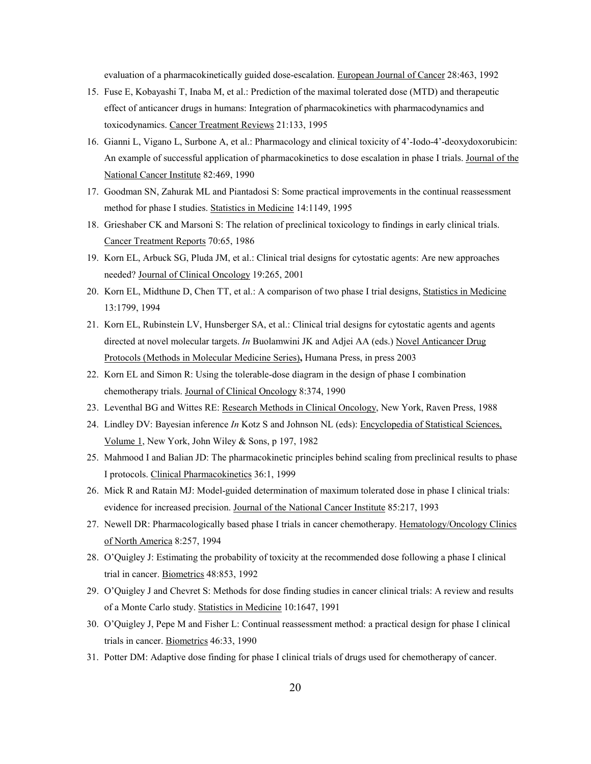evaluation of a pharmacokinetically guided dose-escalation. European Journal of Cancer 28:463, 1992

- 15. Fuse E, Kobayashi T, Inaba M, et al.: Prediction of the maximal tolerated dose (MTD) and therapeutic effect of anticancer drugs in humans: Integration of pharmacokinetics with pharmacodynamics and toxicodynamics. Cancer Treatment Reviews 21:133, 1995
- 16. Gianni L, Vigano L, Surbone A, et al.: Pharmacology and clinical toxicity of 4'-Iodo-4'-deoxydoxorubicin: An example of successful application of pharmacokinetics to dose escalation in phase I trials. Journal of the National Cancer Institute 82:469, 1990
- 17. Goodman SN, Zahurak ML and Piantadosi S: Some practical improvements in the continual reassessment method for phase I studies. Statistics in Medicine 14:1149, 1995
- 18. Grieshaber CK and Marsoni S: The relation of preclinical toxicology to findings in early clinical trials. Cancer Treatment Reports 70:65, 1986
- 19. Korn EL, Arbuck SG, Pluda JM, et al.: Clinical trial designs for cytostatic agents: Are new approaches needed? Journal of Clinical Oncology 19:265, 2001
- 20. Korn EL, Midthune D, Chen TT, et al.: A comparison of two phase I trial designs, Statistics in Medicine 13:1799, 1994
- 21. Korn EL, Rubinstein LV, Hunsberger SA, et al.: Clinical trial designs for cytostatic agents and agents directed at novel molecular targets. *In* Buolamwini JK and Adjei AA (eds.) Novel Anticancer Drug Protocols (Methods in Molecular Medicine Series)**,** Humana Press, in press 2003
- 22. Korn EL and Simon R: Using the tolerable-dose diagram in the design of phase I combination chemotherapy trials. Journal of Clinical Oncology 8:374, 1990
- 23. Leventhal BG and Wittes RE: Research Methods in Clinical Oncology, New York, Raven Press, 1988
- 24. Lindley DV: Bayesian inference *In* Kotz S and Johnson NL (eds): Encyclopedia of Statistical Sciences, Volume 1, New York, John Wiley & Sons, p 197, 1982
- 25. Mahmood I and Balian JD: The pharmacokinetic principles behind scaling from preclinical results to phase I protocols. Clinical Pharmacokinetics 36:1, 1999
- 26. Mick R and Ratain MJ: Model-guided determination of maximum tolerated dose in phase I clinical trials: evidence for increased precision. Journal of the National Cancer Institute 85:217, 1993
- 27. Newell DR: Pharmacologically based phase I trials in cancer chemotherapy. Hematology/Oncology Clinics of North America 8:257, 1994
- 28. O'Quigley J: Estimating the probability of toxicity at the recommended dose following a phase I clinical trial in cancer. Biometrics 48:853, 1992
- 29. O'Quigley J and Chevret S: Methods for dose finding studies in cancer clinical trials: A review and results of a Monte Carlo study. Statistics in Medicine 10:1647, 1991
- 30. O'Quigley J, Pepe M and Fisher L: Continual reassessment method: a practical design for phase I clinical trials in cancer. Biometrics 46:33, 1990
- 31. Potter DM: Adaptive dose finding for phase I clinical trials of drugs used for chemotherapy of cancer.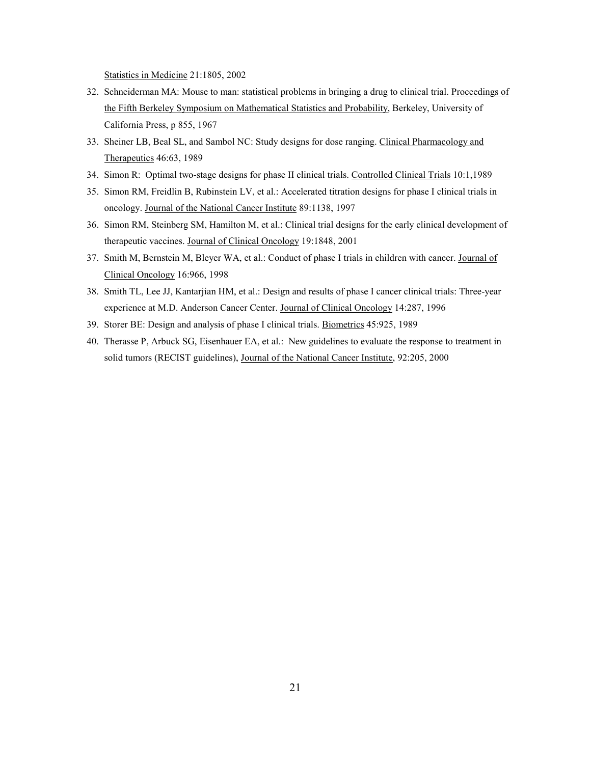Statistics in Medicine 21:1805, 2002

- 32. Schneiderman MA: Mouse to man: statistical problems in bringing a drug to clinical trial. Proceedings of the Fifth Berkeley Symposium on Mathematical Statistics and Probability, Berkeley, University of California Press, p 855, 1967
- 33. Sheiner LB, Beal SL, and Sambol NC: Study designs for dose ranging. Clinical Pharmacology and Therapeutics 46:63, 1989
- 34. Simon R: Optimal two-stage designs for phase II clinical trials. Controlled Clinical Trials 10:1,1989
- 35. Simon RM, Freidlin B, Rubinstein LV, et al.: Accelerated titration designs for phase I clinical trials in oncology. Journal of the National Cancer Institute 89:1138, 1997
- 36. Simon RM, Steinberg SM, Hamilton M, et al.: Clinical trial designs for the early clinical development of therapeutic vaccines. Journal of Clinical Oncology 19:1848, 2001
- 37. Smith M, Bernstein M, Bleyer WA, et al.: Conduct of phase I trials in children with cancer. Journal of Clinical Oncology 16:966, 1998
- 38. Smith TL, Lee JJ, Kantarjian HM, et al.: Design and results of phase I cancer clinical trials: Three-year experience at M.D. Anderson Cancer Center. Journal of Clinical Oncology 14:287, 1996
- 39. Storer BE: Design and analysis of phase I clinical trials. Biometrics 45:925, 1989
- 40. Therasse P, Arbuck SG, Eisenhauer EA, et al.: New guidelines to evaluate the response to treatment in solid tumors (RECIST guidelines), Journal of the National Cancer Institute, 92:205, 2000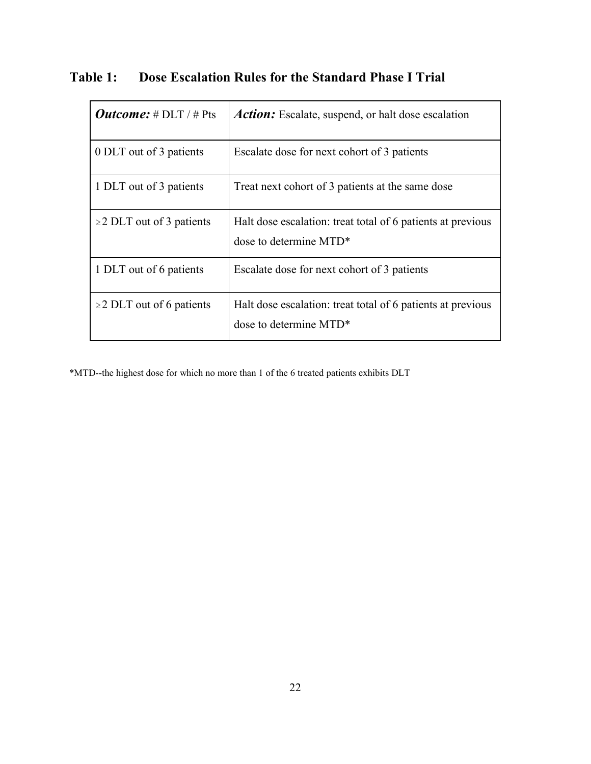| <i>Outcome:</i> # $DLT$ / # Pts | <b>Action:</b> Escalate, suspend, or halt dose escalation                             |
|---------------------------------|---------------------------------------------------------------------------------------|
| 0 DLT out of 3 patients         | Escalate dose for next cohort of 3 patients                                           |
| 1 DLT out of 3 patients         | Treat next cohort of 3 patients at the same dose                                      |
| $\geq$ DLT out of 3 patients    | Halt dose escalation: treat total of 6 patients at previous<br>dose to determine MTD* |
| 1 DLT out of 6 patients         | Escalate dose for next cohort of 3 patients                                           |
| $\geq$ DLT out of 6 patients    | Halt dose escalation: treat total of 6 patients at previous<br>dose to determine MTD* |

**Table 1: Dose Escalation Rules for the Standard Phase I Trial** 

\*MTD--the highest dose for which no more than 1 of the 6 treated patients exhibits DLT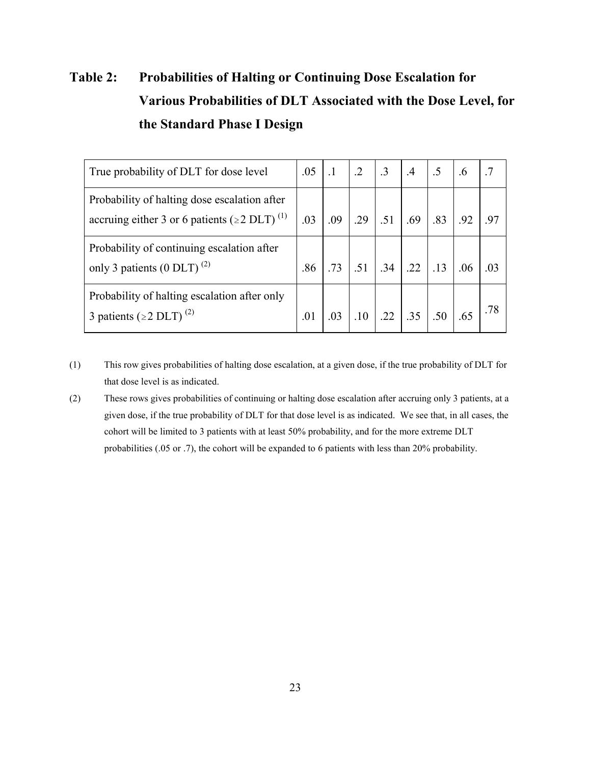# **Table 2: Probabilities of Halting or Continuing Dose Escalation for Various Probabilities of DLT Associated with the Dose Level, for the Standard Phase I Design**

| True probability of DLT for dose level                                                                         | .05 | $\cdot$ 1 | $\cdot$ 2 | $\cdot$ 3 | $.4\,$            | .5  | .6  |     |
|----------------------------------------------------------------------------------------------------------------|-----|-----------|-----------|-----------|-------------------|-----|-----|-----|
| Probability of halting dose escalation after<br>accruing either 3 or 6 patients ( $\geq$ 2 DLT) <sup>(1)</sup> | .03 | .09       | .29       | .51       | .69               | .83 | .92 | .97 |
| Probability of continuing escalation after<br>only 3 patients (0 DLT) <sup>(2)</sup>                           | .86 | .73       | .51       | .34       | .22               | .13 | .06 |     |
| Probability of halting escalation after only<br>3 patients ( $\geq$ 2 DLT) <sup>(2)</sup>                      | .01 | .03       |           |           | $.10$ $.22$ $.35$ | .50 |     |     |

- (1) This row gives probabilities of halting dose escalation, at a given dose, if the true probability of DLT for that dose level is as indicated.
- (2) These rows gives probabilities of continuing or halting dose escalation after accruing only 3 patients, at a given dose, if the true probability of DLT for that dose level is as indicated. We see that, in all cases, the cohort will be limited to 3 patients with at least 50% probability, and for the more extreme DLT probabilities (.05 or .7), the cohort will be expanded to 6 patients with less than 20% probability.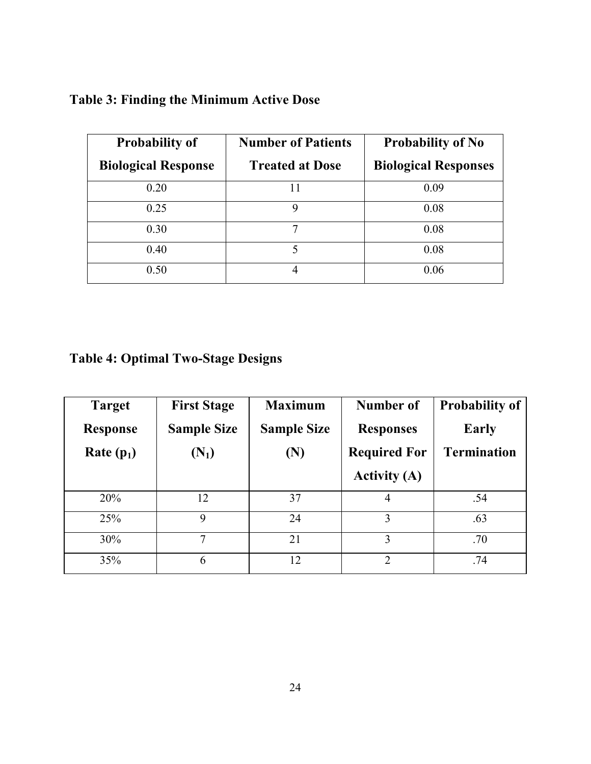# **Table 3: Finding the Minimum Active Dose**

| <b>Probability of</b>      | <b>Number of Patients</b> | <b>Probability of No</b>    |  |  |  |
|----------------------------|---------------------------|-----------------------------|--|--|--|
| <b>Biological Response</b> | <b>Treated at Dose</b>    | <b>Biological Responses</b> |  |  |  |
| 0.20                       | 11                        | 0.09                        |  |  |  |
| 0.25                       | 9                         | 0.08                        |  |  |  |
| 0.30                       | 7                         | 0.08                        |  |  |  |
| 0.40                       | 5                         | 0.08                        |  |  |  |
| 0.50                       |                           | 0.06                        |  |  |  |

# **Table 4: Optimal Two-Stage Designs**

| <b>Target</b>   | <b>First Stage</b> | <b>Maximum</b>     | Number of           | <b>Probability of</b> |
|-----------------|--------------------|--------------------|---------------------|-----------------------|
| <b>Response</b> | <b>Sample Size</b> | <b>Sample Size</b> | <b>Responses</b>    | <b>Early</b>          |
| Rate $(p_1)$    | $(N_1)$            | (N)                | <b>Required For</b> | <b>Termination</b>    |
|                 |                    |                    | <b>Activity (A)</b> |                       |
| 20%             | 12                 | 37                 | 4                   | .54                   |
| 25%             | 9                  | 24                 | 3                   | .63                   |
| 30%             | 7                  | 21                 | 3                   | .70                   |
| 35%             | 6                  | 12                 | $\overline{2}$      | .74                   |